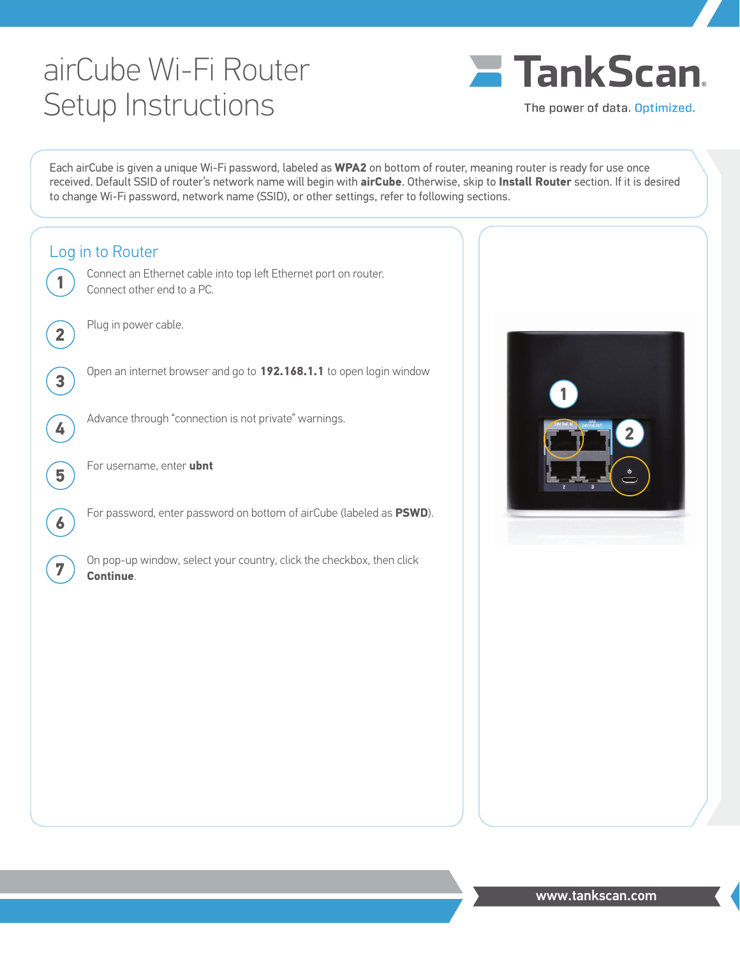## airCube Wi-Fi Router Setup Instructions



The power of data. Optimized.

Each airCube is given a unique Wi-Fi password, labeled as **WPA2** on bottom of router, meaning router is ready for use once received. Default SSID of router's network name will begin with **airCube**. Otherwise, skip to **Install Router** section. If it is desired to change Wi-Fi password, network name (SSID), or other settings, refer to following sections.